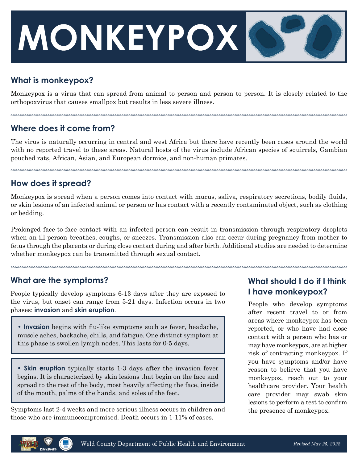# **MONKEYPOX**

# **What is monkeypox?**

Monkeypox is a virus that can spread from animal to person and person to person. It is closely related to the orthopoxvirus that causes smallpox but results in less severe illness.

# **Where does it come from?**

The virus is naturally occurring in central and west Africa but there have recently been cases around the world with no reported travel to these areas. Natural hosts of the virus include African species of squirrels, Gambian pouched rats, African, Asian, and European dormice, and non-human primates.

#### **How does it spread?**

Monkeypox is spread when a person comes into contact with mucus, saliva, respiratory secretions, bodily fluids, or skin lesions of an infected animal or person or has contact with a recently contaminated object, such as clothing or bedding.

Prolonged face-to-face contact with an infected person can result in transmission through respiratory droplets when an ill person breathes, coughs, or sneezes. Transmission also can occur during pregnancy from mother to fetus through the placenta or during close contact during and after birth. Additional studies are needed to determine whether monkeypox can be transmitted through sexual contact.

#### **What are the symptoms?**

People typically develop symptoms 6-13 days after they are exposed to the virus, but onset can range from 5-21 days. Infection occurs in two phases: **invasion** and **skin eruption**.

**• Invasion** begins with flu-like symptoms such as fever, headache, muscle aches, backache, chills, and fatigue. One distinct symptom at this phase is swollen lymph nodes. This lasts for 0-5 days.

**• Skin eruption** typically starts 1-3 days after the invasion fever begins. It is characterized by skin lesions that begin on the face and spread to the rest of the body, most heavily affecting the face, inside of the mouth, palms of the hands, and soles of the feet.

Symptoms last 2-4 weeks and more serious illness occurs in children and those who are immunocompromised. Death occurs in 1-11% of cases.

# **What should I do if I think I have monkeypox?**

People who develop symptoms after recent travel to or from areas where monkeypox has been reported, or who have had close contact with a person who has or may have monkeypox, are at higher risk of contracting monkeypox. If you have symptoms and/or have reason to believe that you have monkeypox, reach out to your healthcare provider. Your health care provider may swab skin lesions to perform a test to confirm the presence of monkeypox.